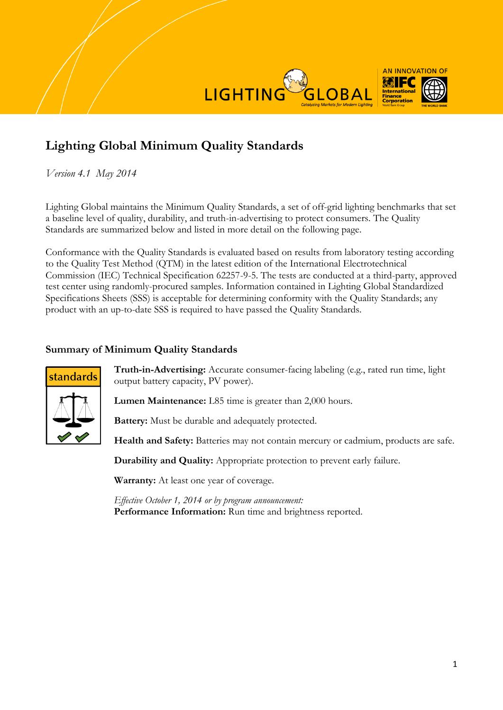



## **Lighting Global Minimum Quality Standards**

*Version 4.1 May 2014*

Lighting Global maintains the Minimum Quality Standards, a set of off-grid lighting benchmarks that set a baseline level of quality, durability, and truth-in-advertising to protect consumers. The Quality Standards are summarized below and listed in more detail on the following page.

Conformance with the Quality Standards is evaluated based on results from laboratory testing according to the Quality Test Method (QTM) in the latest edition of the International Electrotechnical Commission (IEC) Technical Specification 62257-9-5. The tests are conducted at a third-party, approved test center using randomly-procured samples. Information contained in Lighting Global Standardized Specifications Sheets (SSS) is acceptable for determining conformity with the Quality Standards; any product with an up-to-date SSS is required to have passed the Quality Standards.

## **Summary of Minimum Quality Standards**



**Truth-in-Advertising:** Accurate consumer-facing labeling (e.g., rated run time, light output battery capacity, PV power).

**Lumen Maintenance:** L85 time is greater than 2,000 hours.

**Battery:** Must be durable and adequately protected.

**Health and Safety:** Batteries may not contain mercury or cadmium, products are safe.

**Durability and Quality:** Appropriate protection to prevent early failure.

**Warranty:** At least one year of coverage.

*Effective October 1, 2014 or by program announcement:* **Performance Information:** Run time and brightness reported.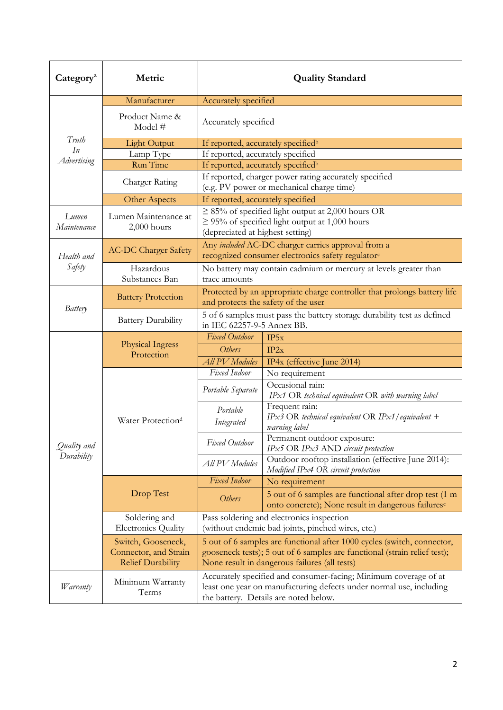| Category <sup>a</sup>             | Metric                                                                  | <b>Quality Standard</b>                                                                                                                                                                               |                                                                                                                          |
|-----------------------------------|-------------------------------------------------------------------------|-------------------------------------------------------------------------------------------------------------------------------------------------------------------------------------------------------|--------------------------------------------------------------------------------------------------------------------------|
| Truth<br>In<br><b>Advertising</b> | Manufacturer                                                            | Accurately specified                                                                                                                                                                                  |                                                                                                                          |
|                                   | Product Name &<br>Model #                                               | Accurately specified                                                                                                                                                                                  |                                                                                                                          |
|                                   | <b>Light Output</b>                                                     | If reported, accurately specified <sup>b</sup>                                                                                                                                                        |                                                                                                                          |
|                                   | Lamp Type                                                               | If reported, accurately specified                                                                                                                                                                     |                                                                                                                          |
|                                   | Run Time                                                                | If reported, accurately specified <sup>b</sup>                                                                                                                                                        |                                                                                                                          |
|                                   | Charger Rating                                                          | If reported, charger power rating accurately specified<br>(e.g. PV power or mechanical charge time)                                                                                                   |                                                                                                                          |
|                                   | <b>Other Aspects</b>                                                    | If reported, accurately specified                                                                                                                                                                     |                                                                                                                          |
| Lumen<br>Maintenance              | Lumen Maintenance at<br>$2,000$ hours                                   | $\geq$ 85% of specified light output at 2,000 hours OR<br>$\geq$ 95% of specified light output at 1,000 hours<br>(depreciated at highest setting)                                                     |                                                                                                                          |
| Health and<br>Safety              | <b>AC-DC Charger Safety</b>                                             | Any included AC-DC charger carries approval from a<br>recognized consumer electronics safety regulator <sup>c</sup>                                                                                   |                                                                                                                          |
|                                   | Hazardous<br>Substances Ban                                             | No battery may contain cadmium or mercury at levels greater than<br>trace amounts                                                                                                                     |                                                                                                                          |
| Battery                           | <b>Battery Protection</b>                                               | Protected by an appropriate charge controller that prolongs battery life<br>and protects the safety of the user                                                                                       |                                                                                                                          |
|                                   | <b>Battery Durability</b>                                               | 5 of 6 samples must pass the battery storage durability test as defined<br>in IEC 62257-9-5 Annex BB.                                                                                                 |                                                                                                                          |
| Quality and<br>Durability         | <b>Physical Ingress</b><br>Protection                                   | <b>Fixed Outdoor</b>                                                                                                                                                                                  | IP5x                                                                                                                     |
|                                   |                                                                         | Others                                                                                                                                                                                                | IP2x                                                                                                                     |
|                                   |                                                                         | All PV Modules                                                                                                                                                                                        | IP4x (effective June 2014)                                                                                               |
|                                   | Water Protection <sup>d</sup>                                           | Fixed Indoor                                                                                                                                                                                          | No requirement                                                                                                           |
|                                   |                                                                         | Portable Separate                                                                                                                                                                                     | Occasional rain:<br>IPx1 OR technical equivalent OR with warning label                                                   |
|                                   |                                                                         | Portable                                                                                                                                                                                              | Frequent rain:                                                                                                           |
|                                   |                                                                         | Integrated                                                                                                                                                                                            | IPx3 OR technical equivalent OR IPx1/equivalent +                                                                        |
|                                   |                                                                         |                                                                                                                                                                                                       | warning label<br>Permanent outdoor exposure:                                                                             |
|                                   |                                                                         | Fixed Outdoor                                                                                                                                                                                         | IPx5 OR IPx3 AND circuit protection                                                                                      |
|                                   |                                                                         | All PV Modules                                                                                                                                                                                        | Outdoor rooftop installation (effective June 2014):<br>Modified IPx4 OR circuit protection                               |
|                                   |                                                                         | Fixed Indoor                                                                                                                                                                                          | No requirement                                                                                                           |
|                                   | Drop Test                                                               | Others                                                                                                                                                                                                | 5 out of 6 samples are functional after drop test (1 m<br>onto concrete); None result in dangerous failures <sup>e</sup> |
|                                   | Soldering and<br><b>Electronics Quality</b>                             | Pass soldering and electronics inspection<br>(without endemic bad joints, pinched wires, etc.)                                                                                                        |                                                                                                                          |
|                                   | Switch, Gooseneck,<br>Connector, and Strain<br><b>Relief Durability</b> | 5 out of 6 samples are functional after 1000 cycles (switch, connector,<br>gooseneck tests); 5 out of 6 samples are functional (strain relief test);<br>None result in dangerous failures (all tests) |                                                                                                                          |
| <i>W</i> arranty                  | Minimum Warranty<br>Terms                                               | Accurately specified and consumer-facing; Minimum coverage of at<br>least one year on manufacturing defects under normal use, including<br>the battery. Details are noted below.                      |                                                                                                                          |